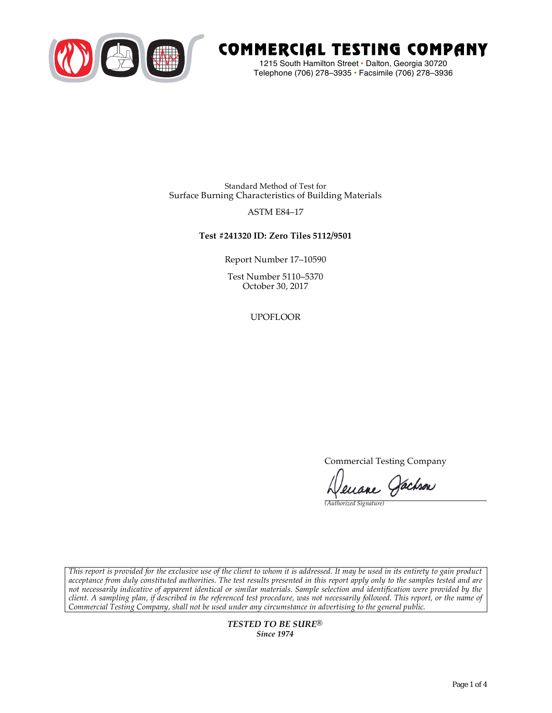

# COMMERCIAL TESTING COMPANY

1215 South Hamilton Street • Dalton, Georgia 30720 Telephone (706) 278–3935 **•** Facsimile (706) 278–3936

Standard Method of Test for Surface Burning Characteristics of Building Materials

## ASTM E84–17

## **Test #241320 ID: Zero Tiles 5112/9501**

Report Number 17–10590

Test Number 5110–5370 October 30, 2017

UPOFLOOR

Commercial Testing Company

Jenane Jachson

*(Authorized Signature)* 

*This report is provided for the exclusive use of the client to whom it is addressed. It may be used in its entirety to gain product acceptance from duly constituted authorities. The test results presented in this report apply only to the samples tested and are not necessarily indicative of apparent identical or similar materials. Sample selection and identification were provided by the client. A sampling plan, if described in the referenced test procedure, was not necessarily followed. This report, or the name of Commercial Testing Company, shall not be used under any circumstance in advertising to the general public.* 

> *TESTED TO BE SURE® Since 1974*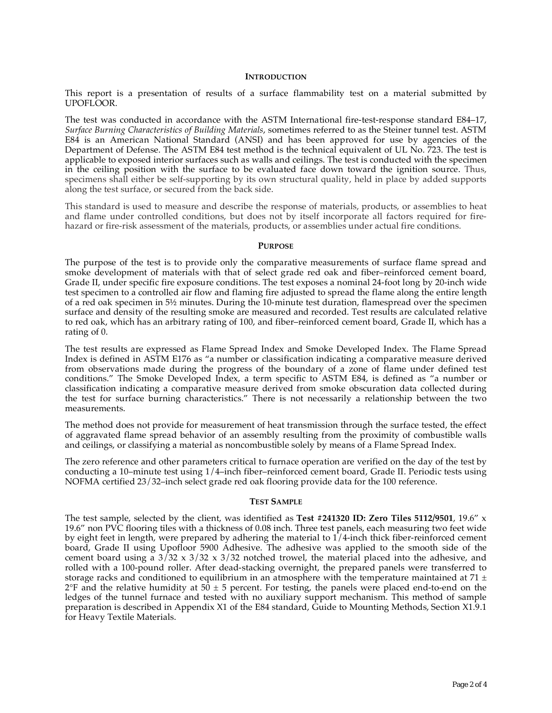### **INTRODUCTION**

This report is a presentation of results of a surface flammability test on a material submitted by UPOFLOOR.

The test was conducted in accordance with the ASTM International fire-test-response standard E84–17, *Surface Burning Characteristics of Building Materials*, sometimes referred to as the Steiner tunnel test. ASTM E84 is an American National Standard (ANSI) and has been approved for use by agencies of the Department of Defense. The ASTM E84 test method is the technical equivalent of UL No. 723. The test is applicable to exposed interior surfaces such as walls and ceilings. The test is conducted with the specimen in the ceiling position with the surface to be evaluated face down toward the ignition source. Thus, specimens shall either be self-supporting by its own structural quality, held in place by added supports along the test surface, or secured from the back side.

This standard is used to measure and describe the response of materials, products, or assemblies to heat and flame under controlled conditions, but does not by itself incorporate all factors required for firehazard or fire-risk assessment of the materials, products, or assemblies under actual fire conditions.

#### **PURPOSE**

The purpose of the test is to provide only the comparative measurements of surface flame spread and smoke development of materials with that of select grade red oak and fiber–reinforced cement board, Grade II, under specific fire exposure conditions. The test exposes a nominal 24-foot long by 20-inch wide test specimen to a controlled air flow and flaming fire adjusted to spread the flame along the entire length of a red oak specimen in 5½ minutes. During the 10-minute test duration, flamespread over the specimen surface and density of the resulting smoke are measured and recorded. Test results are calculated relative to red oak, which has an arbitrary rating of 100, and fiber–reinforced cement board, Grade II, which has a rating of 0.

The test results are expressed as Flame Spread Index and Smoke Developed Index. The Flame Spread Index is defined in ASTM E176 as "a number or classification indicating a comparative measure derived from observations made during the progress of the boundary of a zone of flame under defined test conditions." The Smoke Developed Index, a term specific to ASTM E84, is defined as "a number or classification indicating a comparative measure derived from smoke obscuration data collected during the test for surface burning characteristics." There is not necessarily a relationship between the two measurements.

The method does not provide for measurement of heat transmission through the surface tested, the effect of aggravated flame spread behavior of an assembly resulting from the proximity of combustible walls and ceilings, or classifying a material as noncombustible solely by means of a Flame Spread Index.

The zero reference and other parameters critical to furnace operation are verified on the day of the test by conducting a 10–minute test using 1/4–inch fiber–reinforced cement board, Grade II. Periodic tests using NOFMA certified 23/32–inch select grade red oak flooring provide data for the 100 reference.

#### **TEST SAMPLE**

The test sample, selected by the client, was identified as **Test #241320 ID: Zero Tiles 5112/9501**, 19.6" x 19.6" non PVC flooring tiles with a thickness of 0.08 inch. Three test panels, each measuring two feet wide by eight feet in length, were prepared by adhering the material to 1/4-inch thick fiber-reinforced cement board, Grade II using Upofloor 5900 Adhesive. The adhesive was applied to the smooth side of the cement board using a  $3/32 \times 3/32 \times 3/32$  notched trowel, the material placed into the adhesive, and rolled with a 100-pound roller. After dead-stacking overnight, the prepared panels were transferred to storage racks and conditioned to equilibrium in an atmosphere with the temperature maintained at 71  $\pm$  $2^{\circ}F$  and the relative humidity at  $50 \pm 5$  percent. For testing, the panels were placed end-to-end on the ledges of the tunnel furnace and tested with no auxiliary support mechanism. This method of sample preparation is described in Appendix X1 of the E84 standard, Guide to Mounting Methods, Section X1.9.1 for Heavy Textile Materials.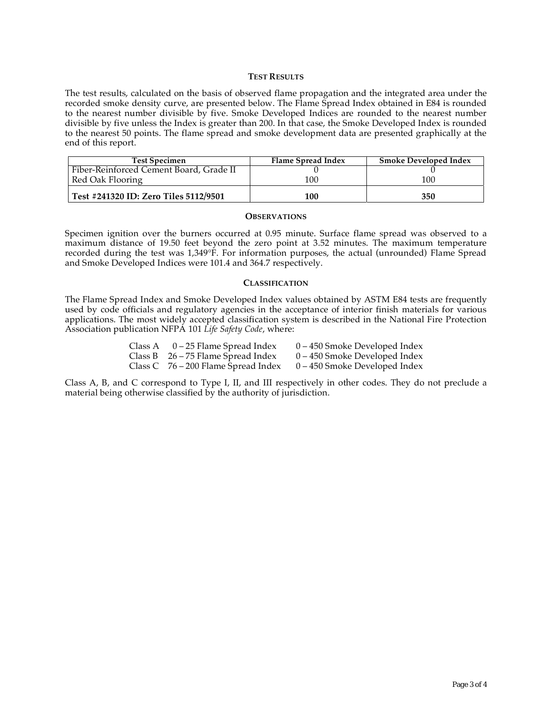## **TEST RESULTS**

The test results, calculated on the basis of observed flame propagation and the integrated area under the recorded smoke density curve, are presented below. The Flame Spread Index obtained in E84 is rounded to the nearest number divisible by five. Smoke Developed Indices are rounded to the nearest number divisible by five unless the Index is greater than 200. In that case, the Smoke Developed Index is rounded to the nearest 50 points. The flame spread and smoke development data are presented graphically at the end of this report.

| <b>Test Specimen</b>                    | <b>Flame Spread Index</b> | <b>Smoke Developed Index</b> |
|-----------------------------------------|---------------------------|------------------------------|
| Fiber-Reinforced Cement Board, Grade II |                           |                              |
| Red Oak Flooring                        | 100                       | 100                          |
| Test #241320 ID: Zero Tiles 5112/9501   | 100                       | 350                          |

#### **OBSERVATIONS**

Specimen ignition over the burners occurred at 0.95 minute. Surface flame spread was observed to a maximum distance of 19.50 feet beyond the zero point at 3.52 minutes. The maximum temperature recorded during the test was 1,349°F. For information purposes, the actual (unrounded) Flame Spread and Smoke Developed Indices were 101.4 and 364.7 respectively.

#### **CLASSIFICATION**

The Flame Spread Index and Smoke Developed Index values obtained by ASTM E84 tests are frequently used by code officials and regulatory agencies in the acceptance of interior finish materials for various applications. The most widely accepted classification system is described in the National Fire Protection Association publication NFPA 101 *Life Safety Code*, where:

| Class A | 0 – 25 Flame Spread Index             | $0 - 450$ Smoke Developed Index |
|---------|---------------------------------------|---------------------------------|
|         | Class B $26 - 75$ Flame Spread Index  | $0 - 450$ Smoke Developed Index |
|         | Class C $76 - 200$ Flame Spread Index | $0 - 450$ Smoke Developed Index |

Class A, B, and C correspond to Type I, II, and III respectively in other codes. They do not preclude a material being otherwise classified by the authority of jurisdiction.